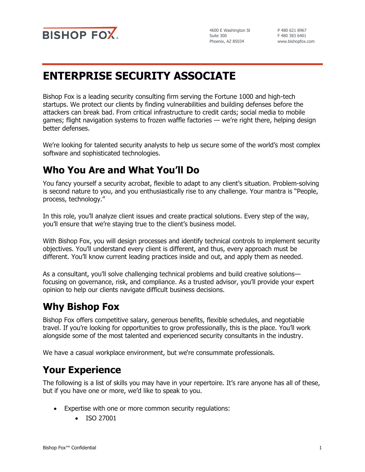

4600 E Washington St Suite 300 Phoenix, AZ 85034

P 480 621 8967 F 480 383 6401 www.bishopfox.com

# **ENTERPRISE SECURITY ASSOCIATE**

Bishop Fox is a leading security consulting firm serving the Fortune 1000 and high-tech startups. We protect our clients by finding vulnerabilities and building defenses before the attackers can break bad. From critical infrastructure to credit cards; social media to mobile games; flight navigation systems to frozen waffle factories — we're right there, helping design better defenses.

We're looking for talented security analysts to help us secure some of the world's most complex software and sophisticated technologies.

## **Who You Are and What You'll Do**

You fancy yourself a security acrobat, flexible to adapt to any client's situation. Problem-solving is second nature to you, and you enthusiastically rise to any challenge. Your mantra is "People, process, technology."

In this role, you'll analyze client issues and create practical solutions. Every step of the way, you'll ensure that we're staying true to the client's business model.

With Bishop Fox, you will design processes and identify technical controls to implement security objectives. You'll understand every client is different, and thus, every approach must be different. You'll know current leading practices inside and out, and apply them as needed.

As a consultant, you'll solve challenging technical problems and build creative solutions focusing on governance, risk, and compliance. As a trusted advisor, you'll provide your expert opinion to help our clients navigate difficult business decisions.

## **Why Bishop Fox**

Bishop Fox offers competitive salary, generous benefits, flexible schedules, and negotiable travel. If you're looking for opportunities to grow professionally, this is the place. You'll work alongside some of the most talented and experienced security consultants in the industry.

We have a casual workplace environment, but we're consummate professionals.

#### **Your Experience**

The following is a list of skills you may have in your repertoire. It's rare anyone has all of these, but if you have one or more, we'd like to speak to you.

- Expertise with one or more common security regulations:
	- ISO 27001